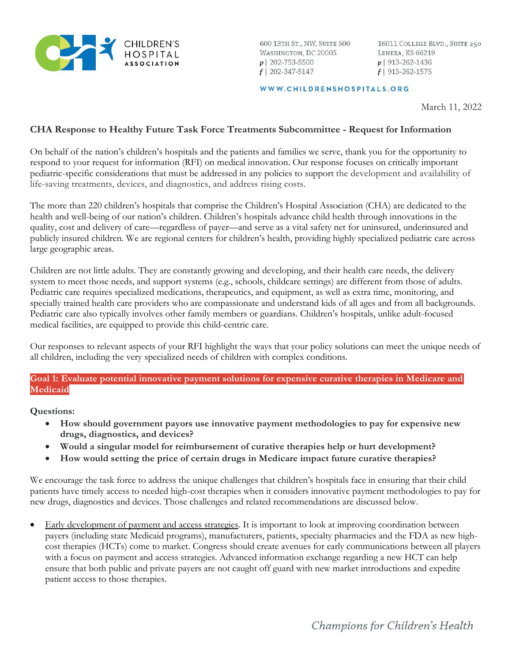

600 13TH ST., NW, SUITE 500 WASHINGTON, DC 20005  $p$ | 202-753-5500  $f$  | 202-347-5147

16011 COLLEGE BLVD., SUITE 250 LENEXA, KS 66219  $p$ | 913-262-1436  $f$ | 913-262-1575

#### WWW.CHILDRENSHOSPITALS.ORG

March 11, 2022

## **CHA Response to Healthy Future Task Force Treatments Subcommittee - Request for Information**

On behalf of the nation's children's hospitals and the patients and families we serve, thank you for the opportunity to respond to your request for information (RFI) on medical innovation. Our response focuses on critically important pediatric-specific considerations that must be addressed in any policies to support the development and availability of life-saving treatments, devices, and diagnostics, and address rising costs.

The more than 220 children's hospitals that comprise the Children's Hospital Association (CHA) are dedicated to the health and well-being of our nation's children. Children's hospitals advance child health through innovations in the quality, cost and delivery of care—regardless of payer—and serve as a vital safety net for uninsured, underinsured and publicly insured children. We are regional centers for children's health, providing highly specialized pediatric care across large geographic areas.

Children are not little adults. They are constantly growing and developing, and their health care needs, the delivery system to meet those needs, and support systems (e.g., schools, childcare settings) are different from those of adults. Pediatric care requires specialized medications, therapeutics, and equipment, as well as extra time, monitoring, and specially trained health care providers who are compassionate and understand kids of all ages and from all backgrounds. Pediatric care also typically involves other family members or guardians. Children's hospitals, unlike adult-focused medical facilities, are equipped to provide this child-centric care.

Our responses to relevant aspects of your RFI highlight the ways that your policy solutions can meet the unique needs of all children, including the very specialized needs of children with complex conditions.

## **Goal 1: Evaluate potential innovative payment solutions for expensive curative therapies in Medicare and Medicaid**

**Questions:**

- **How should government payors use innovative payment methodologies to pay for expensive new drugs, diagnostics, and devices?**
- **Would a singular model for reimbursement of curative therapies help or hurt development?**
- **How would setting the price of certain drugs in Medicare impact future curative therapies?**

We encourage the task force to address the unique challenges that children's hospitals face in ensuring that their child patients have timely access to needed high-cost therapies when it considers innovative payment methodologies to pay for new drugs, diagnostics and devices. Those challenges and related recommendations are discussed below.

• Early development of payment and access strategies. It is important to look at improving coordination between payers (including state Medicaid programs), manufacturers, patients, specialty pharmacies and the FDA as new highcost therapies (HCTs) come to market. Congress should create avenues for early communications between all players with a focus on payment and access strategies. Advanced information exchange regarding a new HCT can help ensure that both public and private payers are not caught off guard with new market introductions and expedite patient access to those therapies.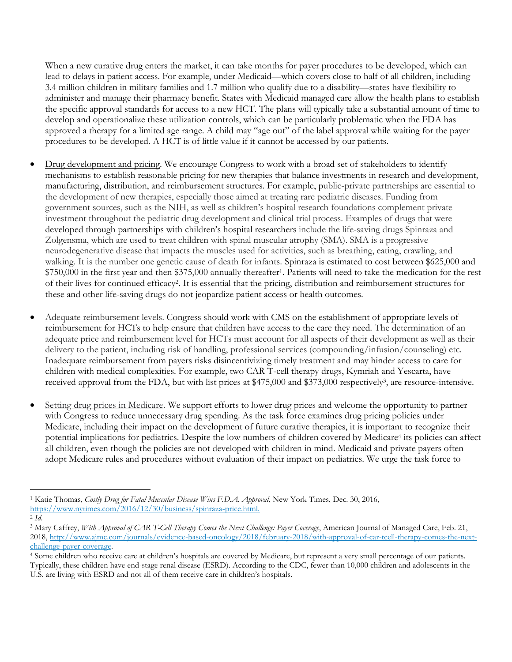When a new curative drug enters the market, it can take months for payer procedures to be developed, which can lead to delays in patient access. For example, under Medicaid—which covers close to half of all children, including 3.4 million children in military families and 1.7 million who qualify due to a disability—states have flexibility to administer and manage their pharmacy benefit. States with Medicaid managed care allow the health plans to establish the specific approval standards for access to a new HCT. The plans will typically take a substantial amount of time to develop and operationalize these utilization controls, which can be particularly problematic when the FDA has approved a therapy for a limited age range. A child may "age out" of the label approval while waiting for the payer procedures to be developed. A HCT is of little value if it cannot be accessed by our patients.

- Drug development and pricing. We encourage Congress to work with a broad set of stakeholders to identify mechanisms to establish reasonable pricing for new therapies that balance investments in research and development, manufacturing, distribution, and reimbursement structures. For example, public-private partnerships are essential to the development of new therapies, especially those aimed at treating rare pediatric diseases. Funding from government sources, such as the NIH, as well as children's hospital research foundations complement private investment throughout the pediatric drug development and clinical trial process. Examples of drugs that were developed through partnerships with children's hospital researchers include the life-saving drugs Spinraza and Zolgensma, which are used to treat children with spinal muscular atrophy (SMA). SMA is a progressive neurodegenerative disease that impacts the muscles used for activities, such as breathing, eating, crawling, and walking. It is the number one genetic cause of death for infants. Spinraza is estimated to cost between \$625,000 and \$750,000 in the first year and then \$375,000 annually thereafter1. Patients will need to take the medication for the rest of their lives for continued efficacy2. It is essential that the pricing, distribution and reimbursement structures for these and other life-saving drugs do not jeopardize patient access or health outcomes.
- Adequate reimbursement levels. Congress should work with CMS on the establishment of appropriate levels of reimbursement for HCTs to help ensure that children have access to the care they need. The determination of an adequate price and reimbursement level for HCTs must account for all aspects of their development as well as their delivery to the patient, including risk of handling, professional services (compounding/infusion/counseling) etc. Inadequate reimbursement from payers risks disincentivizing timely treatment and may hinder access to care for children with medical complexities. For example, two CAR T-cell therapy drugs, Kymriah and Yescarta, have received approval from the FDA, but with list prices at \$475,000 and \$373,000 respectively3, are resource-intensive.
- Setting drug prices in Medicare. We support efforts to lower drug prices and welcome the opportunity to partner with Congress to reduce unnecessary drug spending. As the task force examines drug pricing policies under Medicare, including their impact on the development of future curative therapies, it is important to recognize their potential implications for pediatrics. Despite the low numbers of children covered by Medicare<sup>4</sup> its policies can affect all children, even though the policies are not developed with children in mind. Medicaid and private payers often adopt Medicare rules and procedures without evaluation of their impact on pediatrics. We urge the task force to

<sup>1</sup> Katie Thomas, *Costly Drug for Fatal Muscular Disease Wins F.D.A. Approval*, New York Times, Dec. 30, 2016, [https://www.nytimes.com/2016/12/30/business/spinraza-price.html.](https://www.nytimes.com/2016/12/30/business/spinraza-price.html)

<sup>2</sup> *Id*.

<sup>&</sup>lt;sup>3</sup> Mary Caffrey, With Approval of CAR T-Cell Therapy Comes the Next Challenge: Payer Coverage, American Journal of Managed Care, Feb. 21, 2018, [http://www.ajmc.com/journals/evidence-based-oncology/2018/february-2018/with-approval-of-car-tcell-therapy-comes-the-next](http://www.ajmc.com/journals/evidence-based-oncology/2018/february-2018/with-approval-of-car-tcell-therapy-comes-the-next-challenge-payer-coverage)[challenge-payer-coverage.](http://www.ajmc.com/journals/evidence-based-oncology/2018/february-2018/with-approval-of-car-tcell-therapy-comes-the-next-challenge-payer-coverage)

<sup>4</sup> Some children who receive care at children's hospitals are covered by Medicare, but represent a very small percentage of our patients. Typically, these children have end-stage renal disease (ESRD). According to the CDC, fewer than 10,000 children and adolescents in the

U.S. are living with ESRD and not all of them receive care in children's hospitals.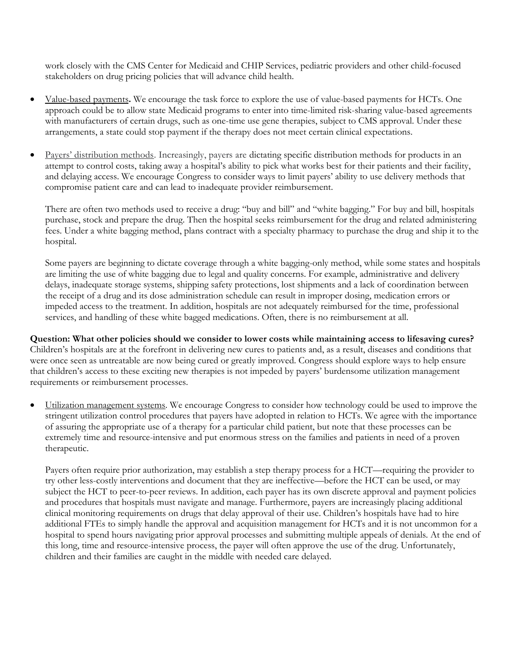work closely with the CMS Center for Medicaid and CHIP Services, pediatric providers and other child-focused stakeholders on drug pricing policies that will advance child health.

- Value-based payments**.** We encourage the task force to explore the use of value-based payments for HCTs. One approach could be to allow state Medicaid programs to enter into time-limited risk-sharing value-based agreements with manufacturers of certain drugs, such as one-time use gene therapies, subject to CMS approval. Under these arrangements, a state could stop payment if the therapy does not meet certain clinical expectations.
- Payers' distribution methods. Increasingly, payers are dictating specific distribution methods for products in an attempt to control costs, taking away a hospital's ability to pick what works best for their patients and their facility, and delaying access. We encourage Congress to consider ways to limit payers' ability to use delivery methods that compromise patient care and can lead to inadequate provider reimbursement.

There are often two methods used to receive a drug: "buy and bill" and "white bagging." For buy and bill, hospitals purchase, stock and prepare the drug. Then the hospital seeks reimbursement for the drug and related administering fees. Under a white bagging method, plans contract with a specialty pharmacy to purchase the drug and ship it to the hospital.

Some payers are beginning to dictate coverage through a white bagging-only method, while some states and hospitals are limiting the use of white bagging due to legal and quality concerns. For example, administrative and delivery delays, inadequate storage systems, shipping safety protections, lost shipments and a lack of coordination between the receipt of a drug and its dose administration schedule can result in improper dosing, medication errors or impeded access to the treatment. In addition, hospitals are not adequately reimbursed for the time, professional services, and handling of these white bagged medications. Often, there is no reimbursement at all.

# **Question: What other policies should we consider to lower costs while maintaining access to lifesaving cures?**

Children's hospitals are at the forefront in delivering new cures to patients and, as a result, diseases and conditions that were once seen as untreatable are now being cured or greatly improved. Congress should explore ways to help ensure that children's access to these exciting new therapies is not impeded by payers' burdensome utilization management requirements or reimbursement processes.

• Utilization management systems. We encourage Congress to consider how technology could be used to improve the stringent utilization control procedures that payers have adopted in relation to HCTs. We agree with the importance of assuring the appropriate use of a therapy for a particular child patient, but note that these processes can be extremely time and resource-intensive and put enormous stress on the families and patients in need of a proven therapeutic.

Payers often require prior authorization, may establish a step therapy process for a HCT—requiring the provider to try other less-costly interventions and document that they are ineffective—before the HCT can be used, or may subject the HCT to peer-to-peer reviews. In addition, each payer has its own discrete approval and payment policies and procedures that hospitals must navigate and manage. Furthermore, payers are increasingly placing additional clinical monitoring requirements on drugs that delay approval of their use. Children's hospitals have had to hire additional FTEs to simply handle the approval and acquisition management for HCTs and it is not uncommon for a hospital to spend hours navigating prior approval processes and submitting multiple appeals of denials. At the end of this long, time and resource-intensive process, the payer will often approve the use of the drug. Unfortunately, children and their families are caught in the middle with needed care delayed.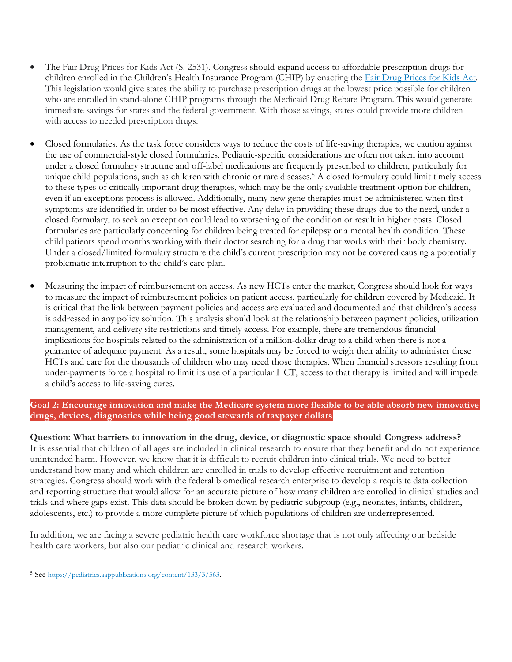- The Fair Drug Prices for Kids Act (S. 2531). Congress should expand access to affordable prescription drugs for children enrolled in the Children's Health Insurance Program (CHIP) by enacting the [Fair Drug Prices for Kids Act.](https://www.congress.gov/bill/117th-congress/senate-bill/2531/text/is) This legislation would give states the ability to purchase prescription drugs at the lowest price possible for children who are enrolled in stand-alone CHIP programs through the Medicaid Drug Rebate Program. This would generate immediate savings for states and the federal government. With those savings, states could provide more children with access to needed prescription drugs.
- Closed formularies. As the task force considers ways to reduce the costs of life-saving therapies, we caution against the use of commercial-style closed formularies. Pediatric-specific considerations are often not taken into account under a closed formulary structure and off-label medications are frequently prescribed to children, particularly for unique child populations, such as children with chronic or rare diseases.<sup>5</sup> A closed formulary could limit timely access to these types of critically important drug therapies, which may be the only available treatment option for children, even if an exceptions process is allowed. Additionally, many new gene therapies must be administered when first symptoms are identified in order to be most effective. Any delay in providing these drugs due to the need, under a closed formulary, to seek an exception could lead to worsening of the condition or result in higher costs. Closed formularies are particularly concerning for children being treated for epilepsy or a mental health condition. These child patients spend months working with their doctor searching for a drug that works with their body chemistry. Under a closed/limited formulary structure the child's current prescription may not be covered causing a potentially problematic interruption to the child's care plan.
- Measuring the impact of reimbursement on access. As new HCTs enter the market, Congress should look for ways to measure the impact of reimbursement policies on patient access, particularly for children covered by Medicaid. It is critical that the link between payment policies and access are evaluated and documented and that children's access is addressed in any policy solution. This analysis should look at the relationship between payment policies, utilization management, and delivery site restrictions and timely access. For example, there are tremendous financial implications for hospitals related to the administration of a million-dollar drug to a child when there is not a guarantee of adequate payment. As a result, some hospitals may be forced to weigh their ability to administer these HCTs and care for the thousands of children who may need those therapies. When financial stressors resulting from under-payments force a hospital to limit its use of a particular HCT, access to that therapy is limited and will impede a child's access to life-saving cures.

**Goal 2: Encourage innovation and make the Medicare system more flexible to be able absorb new innovative drugs, devices, diagnostics while being good stewards of taxpayer dollars**

**Question: What barriers to innovation in the drug, device, or diagnostic space should Congress address?** It is essential that children of all ages are included in clinical research to ensure that they benefit and do not experience unintended harm. However, we know that it is difficult to recruit children into clinical trials. We need to better understand how many and which children are enrolled in trials to develop effective recruitment and retention strategies. Congress should work with the federal biomedical research enterprise to develop a requisite data collection and reporting structure that would allow for an accurate picture of how many children are enrolled in clinical studies and trials and where gaps exist. This data should be broken down by pediatric subgroup (e.g., neonates, infants, children, adolescents, etc.) to provide a more complete picture of which populations of children are underrepresented.

In addition, we are facing a severe pediatric health care workforce shortage that is not only affecting our bedside health care workers, but also our pediatric clinical and research workers.

<sup>5</sup> See [https://pediatrics.aappublications.org/content/133/3/563.](https://pediatrics.aappublications.org/content/133/3/563)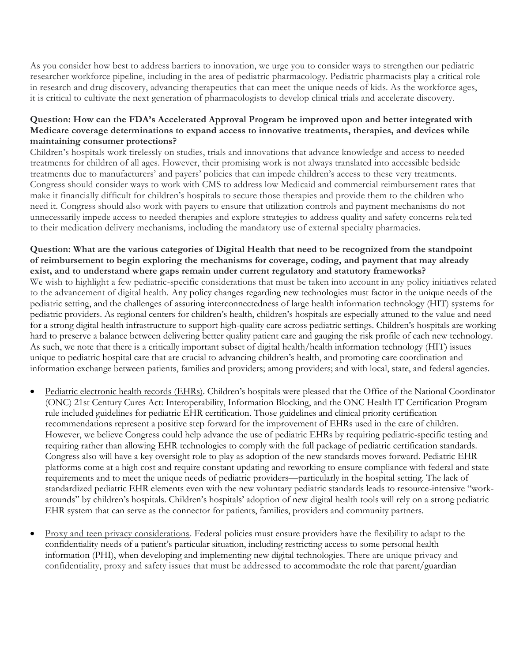As you consider how best to address barriers to innovation, we urge you to consider ways to strengthen our pediatric researcher workforce pipeline, including in the area of pediatric pharmacology. Pediatric pharmacists play a critical role in research and drug discovery, advancing therapeutics that can meet the unique needs of kids. As the workforce ages, it is critical to cultivate the next generation of pharmacologists to develop clinical trials and accelerate discovery.

# **Question: How can the FDA's Accelerated Approval Program be improved upon and better integrated with Medicare coverage determinations to expand access to innovative treatments, therapies, and devices while maintaining consumer protections?**

Children's hospitals work tirelessly on studies, trials and innovations that advance knowledge and access to needed treatments for children of all ages. However, their promising work is not always translated into accessible bedside treatments due to manufacturers' and payers' policies that can impede children's access to these very treatments. Congress should consider ways to work with CMS to address low Medicaid and commercial reimbursement rates that make it financially difficult for children's hospitals to secure those therapies and provide them to the children who need it. Congress should also work with payers to ensure that utilization controls and payment mechanisms do not unnecessarily impede access to needed therapies and explore strategies to address quality and safety concerns rela ted to their medication delivery mechanisms, including the mandatory use of external specialty pharmacies.

### **Question: What are the various categories of Digital Health that need to be recognized from the standpoint of reimbursement to begin exploring the mechanisms for coverage, coding, and payment that may already exist, and to understand where gaps remain under current regulatory and statutory frameworks?** We wish to highlight a few pediatric-specific considerations that must be taken into account in any policy initiatives related

to the advancement of digital health. Any policy changes regarding new technologies must factor in the unique needs of the pediatric setting, and the challenges of assuring interconnectedness of large health information technology (HIT) systems for pediatric providers. As regional centers for children's health, children's hospitals are especially attuned to the value and need for a strong digital health infrastructure to support high-quality care across pediatric settings. Children's hospitals are working hard to preserve a balance between delivering better quality patient care and gauging the risk profile of each new technology. As such, we note that there is a critically important subset of digital health/health information technology (HIT) issues unique to pediatric hospital care that are crucial to advancing children's health, and promoting care coordination and information exchange between patients, families and providers; among providers; and with local, state, and federal agencies.

- Pediatric electronic health records (EHRs). Children's hospitals were pleased that the Office of the National Coordinator (ONC) 21st Century Cures Act: Interoperability, Information Blocking, and the ONC Health IT Certification Program rule included guidelines for pediatric EHR certification. Those guidelines and clinical priority certification recommendations represent a positive step forward for the improvement of EHRs used in the care of children. However, we believe Congress could help advance the use of pediatric EHRs by requiring pediatric-specific testing and requiring rather than allowing EHR technologies to comply with the full package of pediatric certification standards. Congress also will have a key oversight role to play as adoption of the new standards moves forward. Pediatric EHR platforms come at a high cost and require constant updating and reworking to ensure compliance with federal and state requirements and to meet the unique needs of pediatric providers—particularly in the hospital setting. The lack of standardized pediatric EHR elements even with the new voluntary pediatric standards leads to resource-intensive "workarounds" by children's hospitals. Children's hospitals' adoption of new digital health tools will rely on a strong pediatric EHR system that can serve as the connector for patients, families, providers and community partners.
- Proxy and teen privacy considerations. Federal policies must ensure providers have the flexibility to adapt to the confidentiality needs of a patient's particular situation, including restricting access to some personal health information (PHI), when developing and implementing new digital technologies. There are unique privacy and confidentiality, proxy and safety issues that must be addressed to accommodate the role that parent/guardian